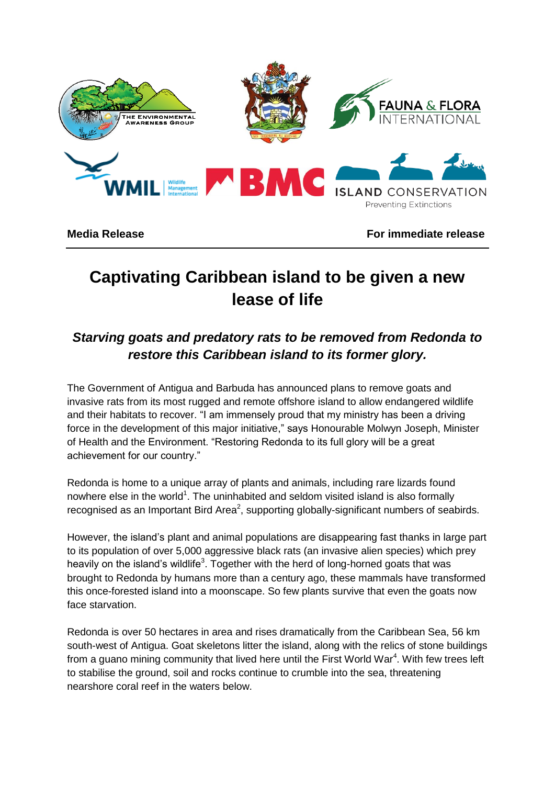

**Media Release For immediate release**

# **Captivating Caribbean island to be given a new lease of life**

# *Starving goats and predatory rats to be removed from Redonda to restore this Caribbean island to its former glory.*

The Government of Antigua and Barbuda has announced plans to remove goats and invasive rats from its most rugged and remote offshore island to allow endangered wildlife and their habitats to recover. "I am immensely proud that my ministry has been a driving force in the development of this major initiative," says Honourable Molwyn Joseph, Minister of Health and the Environment. "Restoring Redonda to its full glory will be a great achievement for our country."

Redonda is home to a unique array of plants and animals, including rare lizards found nowhere else in the world<sup>1</sup>. The uninhabited and seldom visited island is also formally recognised as an Important Bird Area<sup>2</sup>, supporting globally-significant numbers of seabirds.

However, the island's plant and animal populations are disappearing fast thanks in large part to its population of over 5,000 aggressive black rats (an invasive alien species) which prey heavily on the island's wildlife<sup>3</sup>. Together with the herd of long-horned goats that was brought to Redonda by humans more than a century ago, these mammals have transformed this once-forested island into a moonscape. So few plants survive that even the goats now face starvation.

Redonda is over 50 hectares in area and rises dramatically from the Caribbean Sea, 56 km south-west of Antigua. Goat skeletons litter the island, along with the relics of stone buildings from a guano mining community that lived here until the First World War<sup>4</sup>. With few trees left to stabilise the ground, soil and rocks continue to crumble into the sea, threatening nearshore coral reef in the waters below.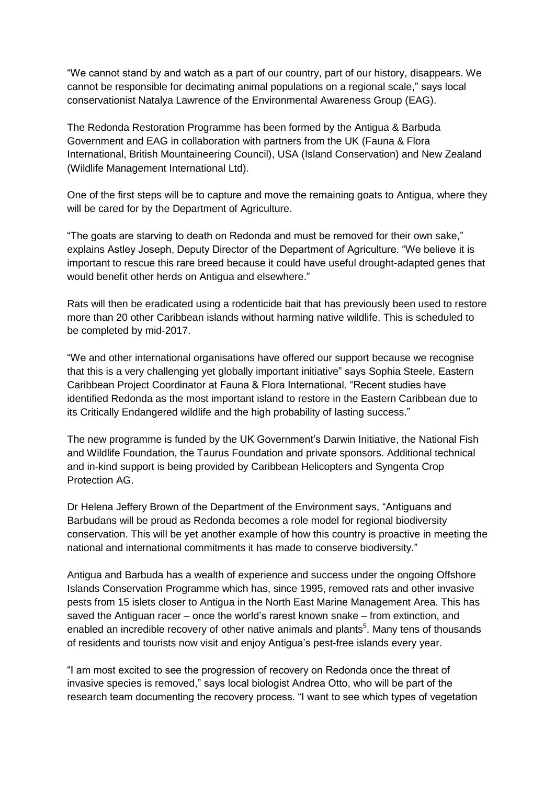"We cannot stand by and watch as a part of our country, part of our history, disappears. We cannot be responsible for decimating animal populations on a regional scale," says local conservationist Natalya Lawrence of the Environmental Awareness Group (EAG).

The Redonda Restoration Programme has been formed by the Antigua & Barbuda Government and EAG in collaboration with partners from the UK (Fauna & Flora International, British Mountaineering Council), USA (Island Conservation) and New Zealand (Wildlife Management International Ltd).

One of the first steps will be to capture and move the remaining goats to Antigua, where they will be cared for by the Department of Agriculture.

"The goats are starving to death on Redonda and must be removed for their own sake," explains Astley Joseph, Deputy Director of the Department of Agriculture. "We believe it is important to rescue this rare breed because it could have useful drought-adapted genes that would benefit other herds on Antigua and elsewhere."

Rats will then be eradicated using a rodenticide bait that has previously been used to restore more than 20 other Caribbean islands without harming native wildlife. This is scheduled to be completed by mid-2017.

"We and other international organisations have offered our support because we recognise that this is a very challenging yet globally important initiative" says Sophia Steele, Eastern Caribbean Project Coordinator at Fauna & Flora International. "Recent studies have identified Redonda as the most important island to restore in the Eastern Caribbean due to its Critically Endangered wildlife and the high probability of lasting success."

The new programme is funded by the UK Government's Darwin Initiative, the National Fish and Wildlife Foundation, the Taurus Foundation and private sponsors. Additional technical and in-kind support is being provided by Caribbean Helicopters and Syngenta Crop Protection AG.

Dr Helena Jeffery Brown of the Department of the Environment says, "Antiguans and Barbudans will be proud as Redonda becomes a role model for regional biodiversity conservation. This will be yet another example of how this country is proactive in meeting the national and international commitments it has made to conserve biodiversity."

Antigua and Barbuda has a wealth of experience and success under the ongoing Offshore Islands Conservation Programme which has, since 1995, removed rats and other invasive pests from 15 islets closer to Antigua in the North East Marine Management Area. This has saved the Antiguan racer – once the world's rarest known snake – from extinction, and enabled an incredible recovery of other native animals and plants<sup>5</sup>. Many tens of thousands of residents and tourists now visit and enjoy Antigua's pest-free islands every year.

"I am most excited to see the progression of recovery on Redonda once the threat of invasive species is removed," says local biologist Andrea Otto, who will be part of the research team documenting the recovery process. "I want to see which types of vegetation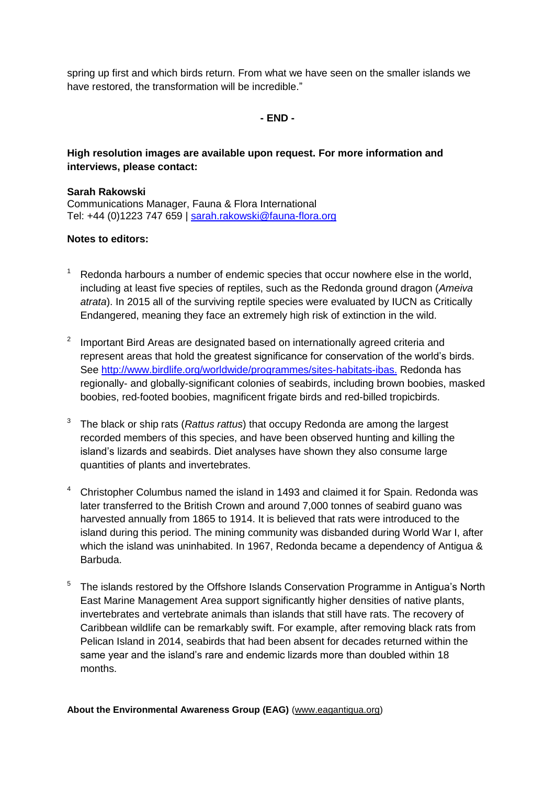spring up first and which birds return. From what we have seen on the smaller islands we have restored, the transformation will be incredible."

**- END -**

# **High resolution images are available upon request. For more information and interviews, please contact:**

### **Sarah Rakowski**

Communications Manager, Fauna & Flora International Tel: +44 (0)1223 747 659 | [sarah.rakowski@fauna-flora.org](mailto:sarah.rakowski@fauna-flora.org)

## **Notes to editors:**

- Redonda harbours a number of endemic species that occur nowhere else in the world, including at least five species of reptiles, such as the Redonda ground dragon (*Ameiva atrata*). In 2015 all of the surviving reptile species were evaluated by IUCN as Critically Endangered, meaning they face an extremely high risk of extinction in the wild.
- $2$  Important Bird Areas are designated based on internationally agreed criteria and represent areas that hold the greatest significance for conservation of the world's birds. See [http://www.birdlife.org/worldwide/programmes/sites-habitats-ibas.](http://www.birdlife.org/worldwide/programmes/sites-habitats-ibas) Redonda has regionally- and globally-significant colonies of seabirds, including brown boobies, masked boobies, red‐footed boobies, magnificent frigate birds and red-billed tropicbirds.
- <sup>3</sup> The black or ship rats (*Rattus rattus*) that occupy Redonda are among the largest recorded members of this species, and have been observed hunting and killing the island's lizards and seabirds. Diet analyses have shown they also consume large quantities of plants and invertebrates.
- <sup>4</sup> Christopher Columbus named the island in 1493 and claimed it for Spain. Redonda was later transferred to the British Crown and around 7,000 tonnes of seabird guano was harvested annually from 1865 to 1914. It is believed that rats were introduced to the island during this period. The mining community was disbanded during World War I, after which the island was uninhabited. In 1967, Redonda became a dependency of Antigua & Barbuda.
- <sup>5</sup>The islands restored by the Offshore Islands Conservation Programme in Antigua's North East Marine Management Area support significantly higher densities of native plants, invertebrates and vertebrate animals than islands that still have rats. The recovery of Caribbean wildlife can be remarkably swift. For example, after removing black rats from Pelican Island in 2014, seabirds that had been absent for decades returned within the same year and the island's rare and endemic lizards more than doubled within 18 months.